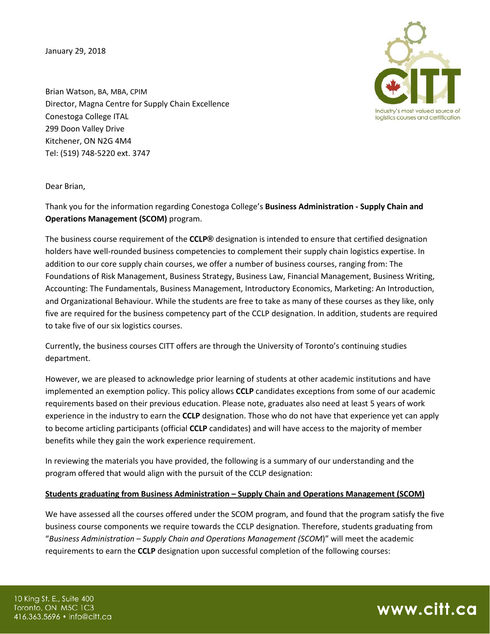January 29, 2018



Brian Watson, BA, MBA, CPIM Director, Magna Centre for Supply Chain Excellence Conestoga College ITAL 299 Doon Valley Drive Kitchener, ON N2G 4M4 Tel: (519) 748-5220 ext. 3747

Dear Brian,

Thank you for the information regarding Conestoga College's **Business Administration - Supply Chain and Operations Management (SCOM)** program.

The business course requirement of the **CCLP®** designation is intended to ensure that certified designation holders have well-rounded business competencies to complement their supply chain logistics expertise. In addition to our core supply chain courses, we offer a number of business courses, ranging from: The Foundations of Risk Management, Business Strategy, Business Law, Financial Management, Business Writing, Accounting: The Fundamentals, Business Management, Introductory Economics, Marketing: An Introduction, and Organizational Behaviour. While the students are free to take as many of these courses as they like, only five are required for the business competency part of the CCLP designation. In addition, students are required to take five of our six logistics courses.

Currently, the business courses CITT offers are through the University of Toronto's continuing studies department.

However, we are pleased to acknowledge prior learning of students at other academic institutions and have implemented an exemption policy. This policy allows **CCLP** candidates exceptions from some of our academic requirements based on their previous education. Please note, graduates also need at least 5 years of work experience in the industry to earn the **CCLP** designation. Those who do not have that experience yet can apply to become articling participants (official **CCLP** candidates) and will have access to the majority of member benefits while they gain the work experience requirement.

In reviewing the materials you have provided, the following is a summary of our understanding and the program offered that would align with the pursuit of the CCLP designation:

## **Students graduating from Business Administration – Supply Chain and Operations Management (SCOM)**

We have assessed all the courses offered under the SCOM program, and found that the program satisfy the five business course components we require towards the CCLP designation. Therefore, students graduating from "*Business Administration – Supply Chain and Operations Management (SCOM*)" will meet the academic requirements to earn the **CCLP** designation upon successful completion of the following courses: